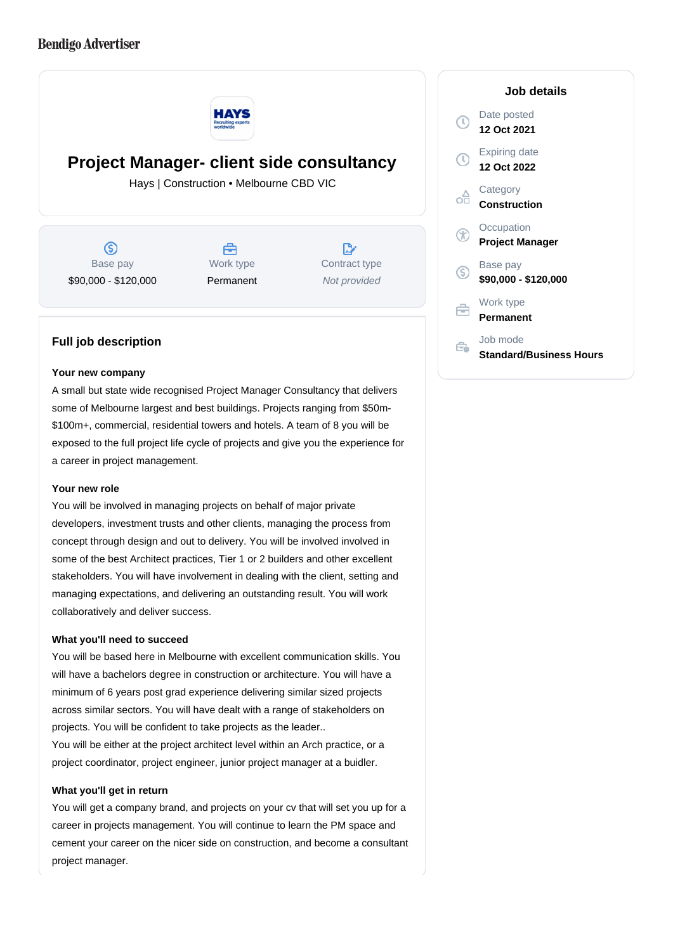# **Bendigo Advertiser**



**Project Manager- client side consultancy**

Hays | Construction • Melbourne CBD VIC

൫ Base pay \$90,000 - \$120,000



D. Contract type Not provided

## **Full job description**

#### **Your new company**

A small but state wide recognised Project Manager Consultancy that delivers some of Melbourne largest and best buildings. Projects ranging from \$50m- \$100m+, commercial, residential towers and hotels. A team of 8 you will be exposed to the full project life cycle of projects and give you the experience for a career in project management.

### **Your new role**

You will be involved in managing projects on behalf of major private developers, investment trusts and other clients, managing the process from concept through design and out to delivery. You will be involved involved in some of the best Architect practices, Tier 1 or 2 builders and other excellent stakeholders. You will have involvement in dealing with the client, setting and managing expectations, and delivering an outstanding result. You will work collaboratively and deliver success.

### **What you'll need to succeed**

You will be based here in Melbourne with excellent communication skills. You will have a bachelors degree in construction or architecture. You will have a minimum of 6 years post grad experience delivering similar sized projects across similar sectors. You will have dealt with a range of stakeholders on projects. You will be confident to take projects as the leader..

You will be either at the project architect level within an Arch practice, or a project coordinator, project engineer, junior project manager at a buidler.

#### **What you'll get in return**

You will get a company brand, and projects on your cv that will set you up for a career in projects management. You will continue to learn the PM space and cement your career on the nicer side on construction, and become a consultant project manager.

## **Job details** Date posted Œ **12 Oct 2021** Expiring date **12 Oct 2022 Category** œ **Construction Occupation Project Manager** Base pay <sub>(S)</sub> **\$90,000 - \$120,000** Work type e **Permanent** Job mode Ê. **Standard/Business Hours**